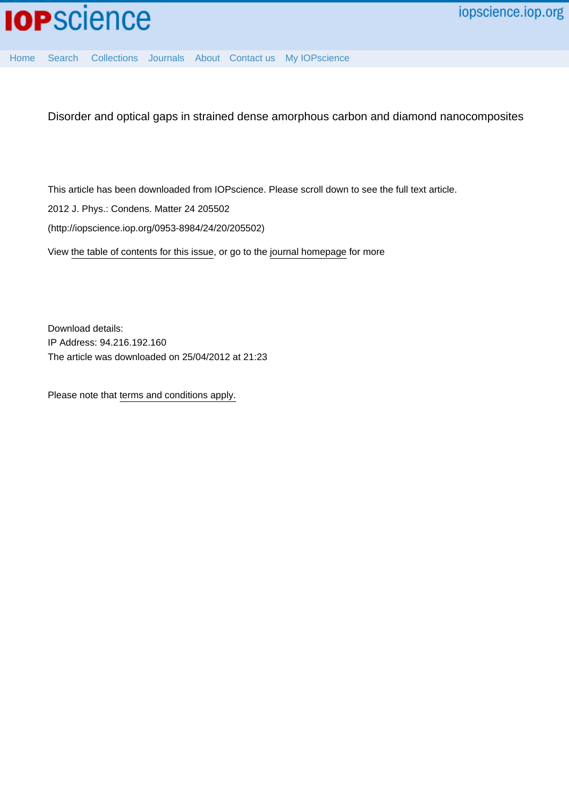

[Home](http://iopscience.iop.org/) [Search](http://iopscience.iop.org/search) [Collections](http://iopscience.iop.org/collections) [Journals](http://iopscience.iop.org/journals) [About](http://iopscience.iop.org/page/aboutioppublishing) [Contact us](http://iopscience.iop.org/contact) [My IOPscience](http://iopscience.iop.org/myiopscience)

Disorder and optical gaps in strained dense amorphous carbon and diamond nanocomposites

This article has been downloaded from IOPscience. Please scroll down to see the full text article.

2012 J. Phys.: Condens. Matter 24 205502

(http://iopscience.iop.org/0953-8984/24/20/205502)

View [the table of contents for this issue](http://iopscience.iop.org/0953-8984/24/20), or go to the [journal homepage](http://iopscience.iop.org/0953-8984) for more

Download details: IP Address: 94.216.192.160 The article was downloaded on 25/04/2012 at 21:23

Please note that [terms and conditions apply.](http://iopscience.iop.org/page/terms)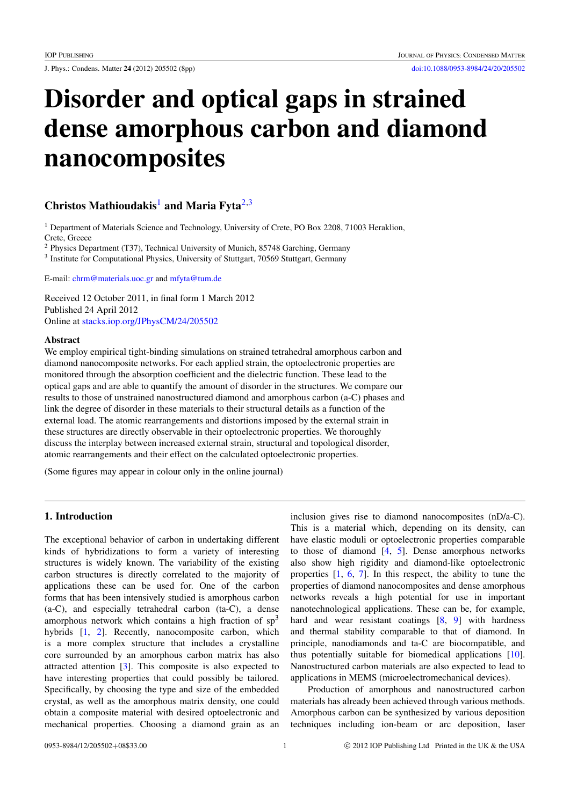# Disorder and optical gaps in strained dense amorphous carbon and diamond nanocomposites

## Christos Mathioudakis<sup>[1](#page-1-0)</sup> and Maria Fyta<sup>[2](#page-1-1)[,3](#page-1-2)</sup>

<span id="page-1-0"></span><sup>1</sup> Department of Materials Science and Technology, University of Crete, PO Box 2208, 71003 Heraklion, Crete, Greece

<span id="page-1-1"></span><sup>2</sup> Physics Department (T37), Technical University of Munich, 85748 Garching, Germany

<span id="page-1-2"></span><sup>3</sup> Institute for Computational Physics, University of Stuttgart, 70569 Stuttgart, Germany

E-mail: [chrm@materials.uoc.gr](mailto:chrm@materials.uoc.gr) and [mfyta@tum.de](mailto:mfyta@tum.de)

Received 12 October 2011, in final form 1 March 2012 Published 24 April 2012 Online at [stacks.iop.org/JPhysCM/24/205502](http://stacks.iop.org/JPhysCM/24/205502)

### Abstract

We employ empirical tight-binding simulations on strained tetrahedral amorphous carbon and diamond nanocomposite networks. For each applied strain, the optoelectronic properties are monitored through the absorption coefficient and the dielectric function. These lead to the optical gaps and are able to quantify the amount of disorder in the structures. We compare our results to those of unstrained nanostructured diamond and amorphous carbon (a-C) phases and link the degree of disorder in these materials to their structural details as a function of the external load. The atomic rearrangements and distortions imposed by the external strain in these structures are directly observable in their optoelectronic properties. We thoroughly discuss the interplay between increased external strain, structural and topological disorder, atomic rearrangements and their effect on the calculated optoelectronic properties.

(Some figures may appear in colour only in the online journal)

## 1. Introduction

The exceptional behavior of carbon in undertaking different kinds of hybridizations to form a variety of interesting structures is widely known. The variability of the existing carbon structures is directly correlated to the majority of applications these can be used for. One of the carbon forms that has been intensively studied is amorphous carbon (a-C), and especially tetrahedral carbon (ta-C), a dense amorphous network which contains a high fraction of  $sp<sup>3</sup>$ hybrids [\[1,](#page-7-0) [2\]](#page-7-1). Recently, nanocomposite carbon, which is a more complex structure that includes a crystalline core surrounded by an amorphous carbon matrix has also attracted attention [\[3\]](#page-7-2). This composite is also expected to have interesting properties that could possibly be tailored. Specifically, by choosing the type and size of the embedded crystal, as well as the amorphous matrix density, one could obtain a composite material with desired optoelectronic and mechanical properties. Choosing a diamond grain as an

inclusion gives rise to diamond nanocomposites (nD/a-C). This is a material which, depending on its density, can have elastic moduli or optoelectronic properties comparable to those of diamond  $[4, 5]$  $[4, 5]$  $[4, 5]$ . Dense amorphous networks also show high rigidity and diamond-like optoelectronic properties  $[1, 6, 7]$  $[1, 6, 7]$  $[1, 6, 7]$  $[1, 6, 7]$  $[1, 6, 7]$ . In this respect, the ability to tune the properties of diamond nanocomposites and dense amorphous networks reveals a high potential for use in important nanotechnological applications. These can be, for example, hard and wear resistant coatings [\[8,](#page-7-7) [9\]](#page-7-8) with hardness and thermal stability comparable to that of diamond. In principle, nanodiamonds and ta-C are biocompatible, and thus potentially suitable for biomedical applications [\[10\]](#page-7-9). Nanostructured carbon materials are also expected to lead to applications in MEMS (microelectromechanical devices).

Production of amorphous and nanostructured carbon materials has already been achieved through various methods. Amorphous carbon can be synthesized by various deposition techniques including ion-beam or arc deposition, laser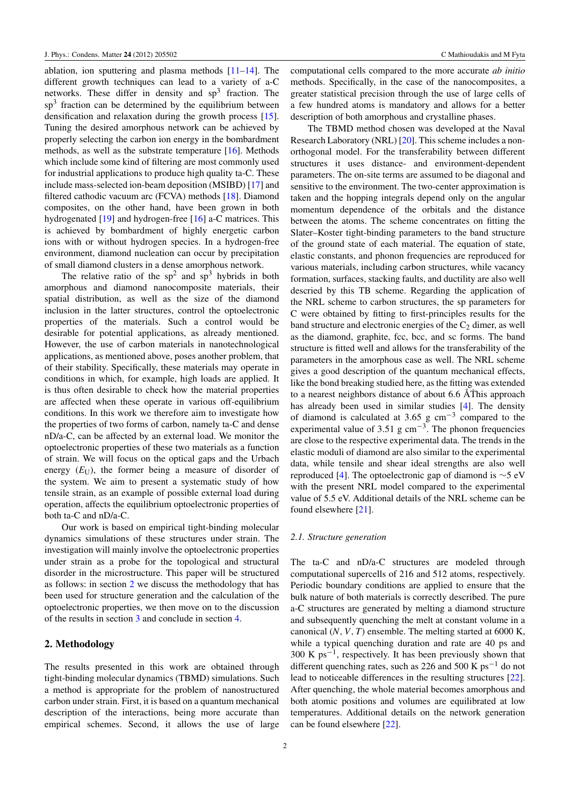ablation, ion sputtering and plasma methods [\[11–](#page-7-10)[14\]](#page-7-11). The different growth techniques can lead to a variety of a-C networks. These differ in density and  $sp<sup>3</sup>$  fraction. The  $sp<sup>3</sup>$  fraction can be determined by the equilibrium between densification and relaxation during the growth process [\[15\]](#page-7-12). Tuning the desired amorphous network can be achieved by properly selecting the carbon ion energy in the bombardment methods, as well as the substrate temperature [\[16\]](#page-7-13). Methods which include some kind of filtering are most commonly used for industrial applications to produce high quality ta-C. These include mass-selected ion-beam deposition (MSIBD) [\[17\]](#page-8-0) and filtered cathodic vacuum arc (FCVA) methods [\[18\]](#page-8-1). Diamond composites, on the other hand, have been grown in both hydrogenated [\[19\]](#page-8-2) and hydrogen-free [\[16\]](#page-7-13) a-C matrices. This is achieved by bombardment of highly energetic carbon ions with or without hydrogen species. In a hydrogen-free environment, diamond nucleation can occur by precipitation of small diamond clusters in a dense amorphous network.

The relative ratio of the  $sp^2$  and  $sp^3$  hybrids in both amorphous and diamond nanocomposite materials, their spatial distribution, as well as the size of the diamond inclusion in the latter structures, control the optoelectronic properties of the materials. Such a control would be desirable for potential applications, as already mentioned. However, the use of carbon materials in nanotechnological applications, as mentioned above, poses another problem, that of their stability. Specifically, these materials may operate in conditions in which, for example, high loads are applied. It is thus often desirable to check how the material properties are affected when these operate in various off-equilibrium conditions. In this work we therefore aim to investigate how the properties of two forms of carbon, namely ta-C and dense nD/a-C, can be affected by an external load. We monitor the optoelectronic properties of these two materials as a function of strain. We will focus on the optical gaps and the Urbach energy  $(E_U)$ , the former being a measure of disorder of the system. We aim to present a systematic study of how tensile strain, as an example of possible external load during operation, affects the equilibrium optoelectronic properties of both ta-C and nD/a-C.

Our work is based on empirical tight-binding molecular dynamics simulations of these structures under strain. The investigation will mainly involve the optoelectronic properties under strain as a probe for the topological and structural disorder in the microstructure. This paper will be structured as follows: in section [2](#page-2-0) we discuss the methodology that has been used for structure generation and the calculation of the optoelectronic properties, we then move on to the discussion of the results in section [3](#page-4-0) and conclude in section [4.](#page-7-14)

## <span id="page-2-0"></span>2. Methodology

The results presented in this work are obtained through tight-binding molecular dynamics (TBMD) simulations. Such a method is appropriate for the problem of nanostructured carbon under strain. First, it is based on a quantum mechanical description of the interactions, being more accurate than empirical schemes. Second, it allows the use of large

computational cells compared to the more accurate *ab initio* methods. Specifically, in the case of the nanocomposites, a greater statistical precision through the use of large cells of a few hundred atoms is mandatory and allows for a better description of both amorphous and crystalline phases.

The TBMD method chosen was developed at the Naval Research Laboratory (NRL) [\[20\]](#page-8-3). This scheme includes a nonorthogonal model. For the transferability between different structures it uses distance- and environment-dependent parameters. The on-site terms are assumed to be diagonal and sensitive to the environment. The two-center approximation is taken and the hopping integrals depend only on the angular momentum dependence of the orbitals and the distance between the atoms. The scheme concentrates on fitting the Slater–Koster tight-binding parameters to the band structure of the ground state of each material. The equation of state, elastic constants, and phonon frequencies are reproduced for various materials, including carbon structures, while vacancy formation, surfaces, stacking faults, and ductility are also well descried by this TB scheme. Regarding the application of the NRL scheme to carbon structures, the sp parameters for C were obtained by fitting to first-principles results for the band structure and electronic energies of the  $C_2$  dimer, as well as the diamond, graphite, fcc, bcc, and sc forms. The band structure is fitted well and allows for the transferability of the parameters in the amorphous case as well. The NRL scheme gives a good description of the quantum mechanical effects, like the bond breaking studied here, as the fitting was extended to a nearest neighbors distance of about 6.6  $\AA$ This approach has already been used in similar studies [\[4\]](#page-7-3). The density of diamond is calculated at 3.65 g  $cm^{-3}$  compared to the experimental value of 3.51 g cm<sup>-3</sup>. The phonon frequencies are close to the respective experimental data. The trends in the elastic moduli of diamond are also similar to the experimental data, while tensile and shear ideal strengths are also well reproduced [\[4\]](#page-7-3). The optoelectronic gap of diamond is ∼5 eV with the present NRL model compared to the experimental value of 5.5 eV. Additional details of the NRL scheme can be found elsewhere [\[21\]](#page-8-4).

### *2.1. Structure generation*

The ta-C and nD/a-C structures are modeled through computational supercells of 216 and 512 atoms, respectively. Periodic boundary conditions are applied to ensure that the bulk nature of both materials is correctly described. The pure a-C structures are generated by melting a diamond structure and subsequently quenching the melt at constant volume in a canonical (*N*, *V*, *T*) ensemble. The melting started at 6000 K, while a typical quenching duration and rate are 40 ps and 300 K ps<sup>-1</sup>, respectively. It has been previously shown that different quenching rates, such as 226 and 500 K  $ps^{-1}$  do not lead to noticeable differences in the resulting structures [\[22\]](#page-8-5). After quenching, the whole material becomes amorphous and both atomic positions and volumes are equilibrated at low temperatures. Additional details on the network generation can be found elsewhere [\[22\]](#page-8-5).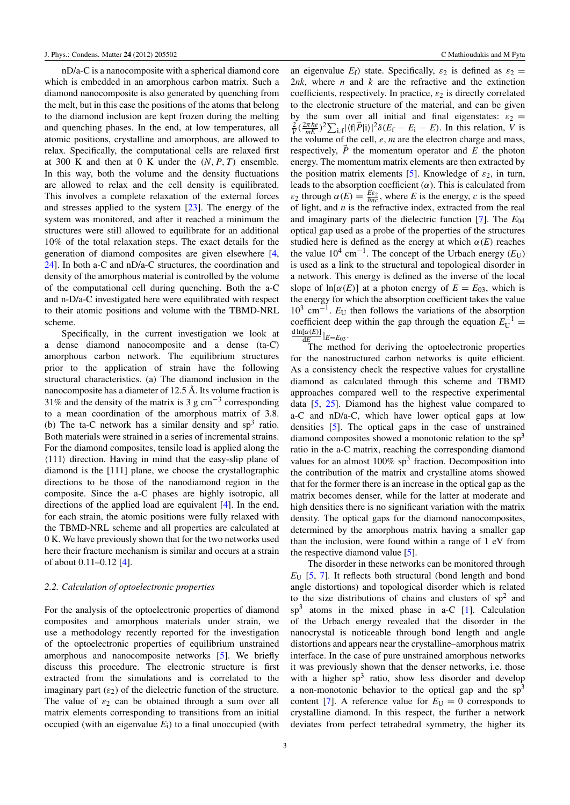nD/a-C is a nanocomposite with a spherical diamond core which is embedded in an amorphous carbon matrix. Such a diamond nanocomposite is also generated by quenching from the melt, but in this case the positions of the atoms that belong to the diamond inclusion are kept frozen during the melting and quenching phases. In the end, at low temperatures, all atomic positions, crystalline and amorphous, are allowed to relax. Specifically, the computational cells are relaxed first at 300 K and then at 0 K under the  $(N, P, T)$  ensemble. In this way, both the volume and the density fluctuations are allowed to relax and the cell density is equilibrated. This involves a complete relaxation of the external forces and stresses applied to the system [\[23\]](#page-8-6). The energy of the system was monitored, and after it reached a minimum the structures were still allowed to equilibrate for an additional 10% of the total relaxation steps. The exact details for the generation of diamond composites are given elsewhere [\[4,](#page-7-3) [24\]](#page-8-7). In both a-C and nD/a-C structures, the coordination and density of the amorphous material is controlled by the volume of the computational cell during quenching. Both the a-C and n-D/a-C investigated here were equilibrated with respect to their atomic positions and volume with the TBMD-NRL scheme.

Specifically, in the current investigation we look at a dense diamond nanocomposite and a dense (ta-C) amorphous carbon network. The equilibrium structures prior to the application of strain have the following structural characteristics. (a) The diamond inclusion in the nanocomposite has a diameter of  $12.5 \text{ Å}$ . Its volume fraction is 31% and the density of the matrix is 3 g  $cm^{-3}$  corresponding to a mean coordination of the amorphous matrix of 3.8. (b) The ta-C network has a similar density and  $sp<sup>3</sup>$  ratio. Both materials were strained in a series of incremental strains. For the diamond composites, tensile load is applied along the  $\langle 111 \rangle$  direction. Having in mind that the easy-slip plane of diamond is the [111] plane, we choose the crystallographic directions to be those of the nanodiamond region in the composite. Since the a-C phases are highly isotropic, all directions of the applied load are equivalent [\[4\]](#page-7-3). In the end, for each strain, the atomic positions were fully relaxed with the TBMD-NRL scheme and all properties are calculated at 0 K. We have previously shown that for the two networks used here their fracture mechanism is similar and occurs at a strain of about 0.11–0.12 [\[4\]](#page-7-3).

#### *2.2. Calculation of optoelectronic properties*

For the analysis of the optoelectronic properties of diamond composites and amorphous materials under strain, we use a methodology recently reported for the investigation of the optoelectronic properties of equilibrium unstrained amorphous and nanocomposite networks [\[5\]](#page-7-4). We briefly discuss this procedure. The electronic structure is first extracted from the simulations and is correlated to the imaginary part  $(\varepsilon_2)$  of the dielectric function of the structure. The value of  $\varepsilon_2$  can be obtained through a sum over all matrix elements corresponding to transitions from an initial occupied (with an eigenvalue  $E_i$ ) to a final unoccupied (with

an eigenvalue  $E_f$ ) state. Specifically,  $\varepsilon_2$  is defined as  $\varepsilon_2$  = 2*nk*, where *n* and *k* are the refractive and the extinction coefficients, respectively. In practice,  $\varepsilon_2$  is directly correlated to the electronic structure of the material, and can be given by the sum over all initial and final eigenstates:  $\varepsilon_2$  =  $\frac{2}{V}(\frac{2\pi\hbar e}{mE})^2 \sum_{i,f} |\langle f|\vec{P}|\hat{i}\rangle|^2 \delta(E_f - E_i - E)$ . In this relation, *V* is the volume of the cell, *e*, *m* are the electron charge and mass, respectively,  $\vec{P}$  the momentum operator and  $E$  the photon energy. The momentum matrix elements are then extracted by the position matrix elements [\[5\]](#page-7-4). Knowledge of  $\varepsilon_2$ , in turn, leads to the absorption coefficient  $(\alpha)$ . This is calculated from  $\varepsilon_2$  through  $\alpha(E) = \frac{E\varepsilon_2}{\hbar n c}$ , where *E* is the energy, *c* is the speed of light, and *n* is the refractive index, extracted from the real and imaginary parts of the dielectric function [\[7\]](#page-7-6). The *E*<sup>04</sup> optical gap used as a probe of the properties of the structures studied here is defined as the energy at which  $\alpha(E)$  reaches the value  $10^4$  cm<sup>-1</sup>. The concept of the Urbach energy ( $E_U$ ) is used as a link to the structural and topological disorder in a network. This energy is defined as the inverse of the local slope of  $ln[\alpha(E)]$  at a photon energy of  $E = E_{03}$ , which is the energy for which the absorption coefficient takes the value 10<sup>3</sup> cm−<sup>1</sup> . *E*<sup>U</sup> then follows the variations of the absorption coefficient deep within the gap through the equation  $E_U^{-1}$  $d \ln[\alpha(E)]$  $\frac{[\alpha(E)]}{dE}|_{E=E_{03}}.$ 

 $rac{1}{dE}$  IE=E<sub>03</sub>.<br>The method for deriving the optoelectronic properties for the nanostructured carbon networks is quite efficient. As a consistency check the respective values for crystalline diamond as calculated through this scheme and TBMD approaches compared well to the respective experimental data  $[5, 25]$  $[5, 25]$  $[5, 25]$ . Diamond has the highest value compared to a-C and nD/a-C, which have lower optical gaps at low densities [\[5\]](#page-7-4). The optical gaps in the case of unstrained diamond composites showed a monotonic relation to the  $sp<sup>3</sup>$ ratio in the a-C matrix, reaching the corresponding diamond values for an almost 100%  $sp^3$  fraction. Decomposition into the contribution of the matrix and crystalline atoms showed that for the former there is an increase in the optical gap as the matrix becomes denser, while for the latter at moderate and high densities there is no significant variation with the matrix density. The optical gaps for the diamond nanocomposites, determined by the amorphous matrix having a smaller gap than the inclusion, were found within a range of 1 eV from the respective diamond value [\[5\]](#page-7-4).

The disorder in these networks can be monitored through *E*U [\[5,](#page-7-4) [7\]](#page-7-6). It reflects both structural (bond length and bond angle distortions) and topological disorder which is related to the size distributions of chains and clusters of  $sp<sup>2</sup>$  and  $sp<sup>3</sup>$  atoms in the mixed phase in a-C [\[1\]](#page-7-0). Calculation of the Urbach energy revealed that the disorder in the nanocrystal is noticeable through bond length and angle distortions and appears near the crystalline–amorphous matrix interface. In the case of pure unstrained amorphous networks it was previously shown that the denser networks, i.e. those with a higher  $sp<sup>3</sup>$  ratio, show less disorder and develop a non-monotonic behavior to the optical gap and the  $sp<sup>3</sup>$ content [\[7\]](#page-7-6). A reference value for  $E_U = 0$  corresponds to crystalline diamond. In this respect, the further a network deviates from perfect tetrahedral symmetry, the higher its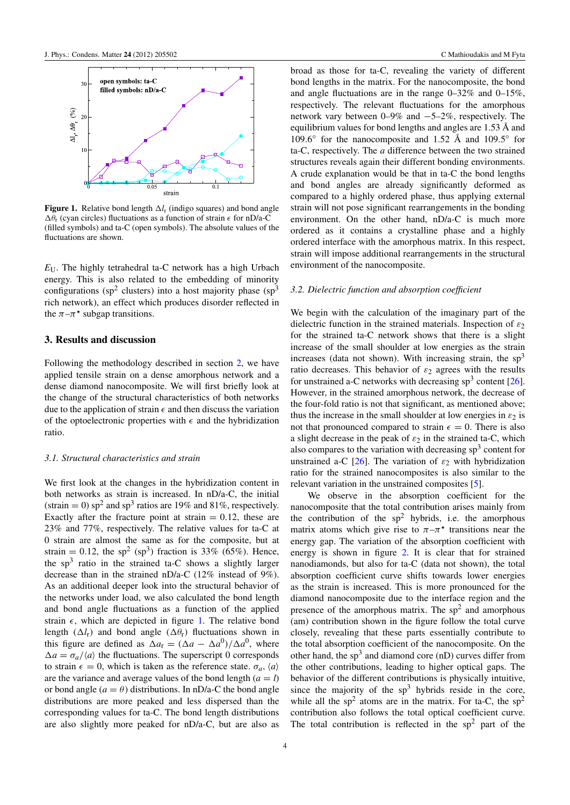<span id="page-4-1"></span>

**Figure 1.** Relative bond length  $\Delta l_{\rm r}$  (indigo squares) and bond angle  $\Delta\theta_r$  (cyan circles) fluctuations as a function of strain  $\epsilon$  for nD/a-C (filled symbols) and ta-C (open symbols). The absolute values of the fluctuations are shown.

 $E_{\text{U}}$ . The highly tetrahedral ta-C network has a high Urbach energy. This is also related to the embedding of minority configurations (sp<sup>2</sup> clusters) into a host majority phase (sp<sup>3</sup> rich network), an effect which produces disorder reflected in the  $\pi-\pi^*$  subgap transitions.

## <span id="page-4-0"></span>3. Results and discussion

Following the methodology described in section [2,](#page-2-0) we have applied tensile strain on a dense amorphous network and a dense diamond nanocomposite. We will first briefly look at the change of the structural characteristics of both networks due to the application of strain  $\epsilon$  and then discuss the variation of the optoelectronic properties with  $\epsilon$  and the hybridization ratio.

#### *3.1. Structural characteristics and strain*

We first look at the changes in the hybridization content in both networks as strain is increased. In nD/a-C, the initial (strain = 0) sp<sup>2</sup> and sp<sup>3</sup> ratios are 19% and 81%, respectively. Exactly after the fracture point at strain  $= 0.12$ , these are 23% and 77%, respectively. The relative values for ta-C at 0 strain are almost the same as for the composite, but at strain = 0.12, the sp<sup>2</sup> (sp<sup>3</sup>) fraction is 33% (65%). Hence, the  $sp<sup>3</sup>$  ratio in the strained ta-C shows a slightly larger decrease than in the strained nD/a-C (12% instead of 9%). As an additional deeper look into the structural behavior of the networks under load, we also calculated the bond length and bond angle fluctuations as a function of the applied strain  $\epsilon$ , which are depicted in figure [1.](#page-4-1) The relative bond length  $(\Delta l_r)$  and bond angle  $(\Delta \theta_r)$  fluctuations shown in this figure are defined as  $\Delta a_{\rm r} = (\Delta a - \Delta a^0)/\Delta a^0$ , where  $\Delta a = \sigma_a/\langle a \rangle$  the fluctuations. The superscript 0 corresponds to strain  $\epsilon = 0$ , which is taken as the reference state.  $\sigma_a$ ,  $\langle a \rangle$ are the variance and average values of the bond length  $(a = l)$ or bond angle  $(a = \theta)$  distributions. In nD/a-C the bond angle distributions are more peaked and less dispersed than the corresponding values for ta-C. The bond length distributions are also slightly more peaked for nD/a-C, but are also as

broad as those for ta-C, revealing the variety of different bond lengths in the matrix. For the nanocomposite, the bond and angle fluctuations are in the range 0–32% and 0–15%, respectively. The relevant fluctuations for the amorphous network vary between 0–9% and −5–2%, respectively. The equilibrium values for bond lengths and angles are  $1.53 \text{ Å}$  and 109.6 $\degree$  for the nanocomposite and 1.52 Å and 109.5 $\degree$  for ta-C, respectively. The *a* difference between the two strained structures reveals again their different bonding environments. A crude explanation would be that in ta-C the bond lengths and bond angles are already significantly deformed as compared to a highly ordered phase, thus applying external strain will not pose significant rearrangements in the bonding environment. On the other hand, nD/a-C is much more ordered as it contains a crystalline phase and a highly ordered interface with the amorphous matrix. In this respect, strain will impose additional rearrangements in the structural environment of the nanocomposite.

#### *3.2. Dielectric function and absorption coefficient*

We begin with the calculation of the imaginary part of the dielectric function in the strained materials. Inspection of  $\varepsilon_2$ for the strained ta-C network shows that there is a slight increase of the small shoulder at low energies as the strain increases (data not shown). With increasing strain, the  $sp<sup>3</sup>$ ratio decreases. This behavior of  $\varepsilon_2$  agrees with the results for unstrained a-C networks with decreasing  $sp^3$  content [\[26\]](#page-8-9). However, in the strained amorphous network, the decrease of the four-fold ratio is not that significant, as mentioned above; thus the increase in the small shoulder at low energies in  $\varepsilon_2$  is not that pronounced compared to strain  $\epsilon = 0$ . There is also a slight decrease in the peak of  $\varepsilon_2$  in the strained ta-C, which also compares to the variation with decreasing  $sp<sup>3</sup>$  content for unstrained a-C [\[26\]](#page-8-9). The variation of  $\varepsilon_2$  with hybridization ratio for the strained nanocomposites is also similar to the relevant variation in the unstrained composites [\[5\]](#page-7-4).

We observe in the absorption coefficient for the nanocomposite that the total contribution arises mainly from the contribution of the  $sp^2$  hybrids, i.e. the amorphous matrix atoms which give rise to  $\pi-\pi^*$  transitions near the energy gap. The variation of the absorption coefficient with energy is shown in figure [2.](#page-5-0) It is clear that for strained nanodiamonds, but also for ta-C (data not shown), the total absorption coefficient curve shifts towards lower energies as the strain is increased. This is more pronounced for the diamond nanocomposite due to the interface region and the presence of the amorphous matrix. The  $sp<sup>2</sup>$  and amorphous (am) contribution shown in the figure follow the total curve closely, revealing that these parts essentially contribute to the total absorption coefficient of the nanocomposite. On the other hand, the  $sp<sup>3</sup>$  and diamond core (nD) curves differ from the other contributions, leading to higher optical gaps. The behavior of the different contributions is physically intuitive, since the majority of the  $sp<sup>3</sup>$  hybrids reside in the core, while all the sp<sup>2</sup> atoms are in the matrix. For ta-C, the sp<sup>2</sup> contribution also follows the total optical coefficient curve. The total contribution is reflected in the  $sp<sup>2</sup>$  part of the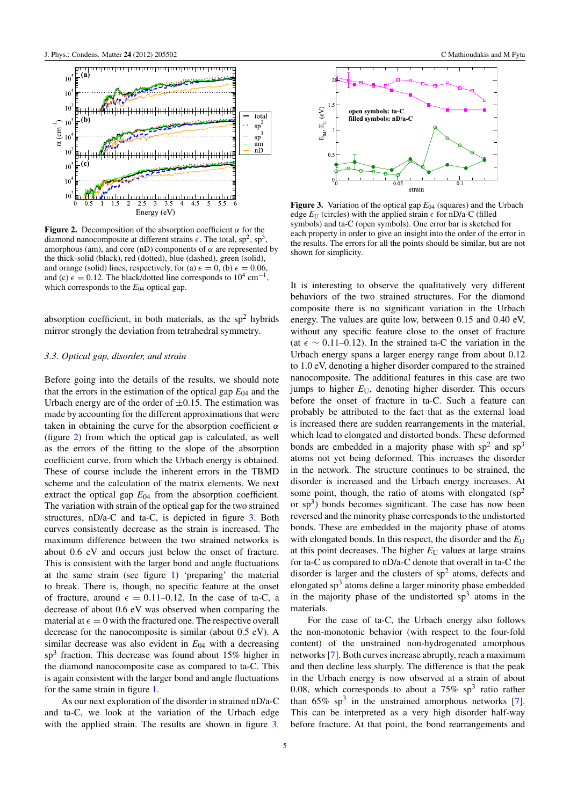<span id="page-5-0"></span>

Figure 2. Decomposition of the absorption coefficient  $\alpha$  for the diamond nanocomposite at different strains  $\epsilon$ . The total, sp<sup>2</sup>, sp<sup>3</sup> , amorphous (am), and core (nD) components of  $\alpha$  are represented by the thick-solid (black), red (dotted), blue (dashed), green (solid), and orange (solid) lines, respectively, for (a)  $\epsilon = 0$ , (b)  $\epsilon = 0.06$ , and (c)  $\epsilon = 0.12$ . The black/dotted line corresponds to  $10^4$  cm<sup>-1</sup>, which corresponds to the  $E_{04}$  optical gap.

absorption coefficient, in both materials, as the  $sp<sup>2</sup>$  hybrids mirror strongly the deviation from tetrahedral symmetry.

#### *3.3. Optical gap, disorder, and strain*

Before going into the details of the results, we should note that the errors in the estimation of the optical gap  $E_{04}$  and the Urbach energy are of the order of  $\pm 0.15$ . The estimation was made by accounting for the different approximations that were taken in obtaining the curve for the absorption coefficient  $\alpha$ (figure [2\)](#page-5-0) from which the optical gap is calculated, as well as the errors of the fitting to the slope of the absorption coefficient curve, from which the Urbach energy is obtained. These of course include the inherent errors in the TBMD scheme and the calculation of the matrix elements. We next extract the optical gap  $E_{04}$  from the absorption coefficient. The variation with strain of the optical gap for the two strained structures, nD/a-C and ta-C, is depicted in figure [3.](#page-5-1) Both curves consistently decrease as the strain is increased. The maximum difference between the two strained networks is about 0.6 eV and occurs just below the onset of fracture. This is consistent with the larger bond and angle fluctuations at the same strain (see figure [1\)](#page-4-1) 'preparing' the material to break. There is, though, no specific feature at the onset of fracture, around  $\epsilon = 0.11{\text -}0.12$ . In the case of ta-C, a decrease of about 0.6 eV was observed when comparing the material at  $\epsilon = 0$  with the fractured one. The respective overall decrease for the nanocomposite is similar (about 0.5 eV). A similar decrease was also evident in *E*<sup>04</sup> with a decreasing  $sp<sup>3</sup>$  fraction. This decrease was found about 15% higher in the diamond nanocomposite case as compared to ta-C. This is again consistent with the larger bond and angle fluctuations for the same strain in figure [1.](#page-4-1)

As our next exploration of the disorder in strained nD/a-C and ta-C, we look at the variation of the Urbach edge with the applied strain. The results are shown in figure [3.](#page-5-1)

<span id="page-5-1"></span>

Figure 3. Variation of the optical gap *E*<sup>04</sup> (squares) and the Urbach edge  $E_U$  (circles) with the applied strain  $\epsilon$  for nD/a-C (filled symbols) and ta-C (open symbols). One error bar is sketched for each property in order to give an insight into the order of the error in the results. The errors for all the points should be similar, but are not shown for simplicity.

It is interesting to observe the qualitatively very different behaviors of the two strained structures. For the diamond composite there is no significant variation in the Urbach energy. The values are quite low, between 0.15 and 0.40 eV, without any specific feature close to the onset of fracture (at  $\epsilon \sim 0.11$ –0.12). In the strained ta-C the variation in the Urbach energy spans a larger energy range from about 0.12 to 1.0 eV, denoting a higher disorder compared to the strained nanocomposite. The additional features in this case are two jumps to higher  $E_U$ , denoting higher disorder. This occurs before the onset of fracture in ta-C. Such a feature can probably be attributed to the fact that as the external load is increased there are sudden rearrangements in the material, which lead to elongated and distorted bonds. These deformed bonds are embedded in a majority phase with  $sp<sup>2</sup>$  and  $sp<sup>3</sup>$ atoms not yet being deformed. This increases the disorder in the network. The structure continues to be strained, the disorder is increased and the Urbach energy increases. At some point, though, the ratio of atoms with elongated  $(sp<sup>2</sup>]$ or  $sp^3$ ) bonds becomes significant. The case has now been reversed and the minority phase corresponds to the undistorted bonds. These are embedded in the majority phase of atoms with elongated bonds. In this respect, the disorder and the  $E_{U}$ at this point decreases. The higher  $E_U$  values at large strains for ta-C as compared to nD/a-C denote that overall in ta-C the disorder is larger and the clusters of  $sp<sup>2</sup>$  atoms, defects and elongated  $sp<sup>3</sup>$  atoms define a larger minority phase embedded in the majority phase of the undistorted  $sp<sup>3</sup>$  atoms in the materials.

For the case of ta-C, the Urbach energy also follows the non-monotonic behavior (with respect to the four-fold content) of the unstrained non-hydrogenated amorphous networks [\[7\]](#page-7-6). Both curves increase abruptly, reach a maximum and then decline less sharply. The difference is that the peak in the Urbach energy is now observed at a strain of about 0.08, which corresponds to about a  $75\%$  sp<sup>3</sup> ratio rather than  $65\%$  sp<sup>3</sup> in the unstrained amorphous networks [\[7\]](#page-7-6). This can be interpreted as a very high disorder half-way before fracture. At that point, the bond rearrangements and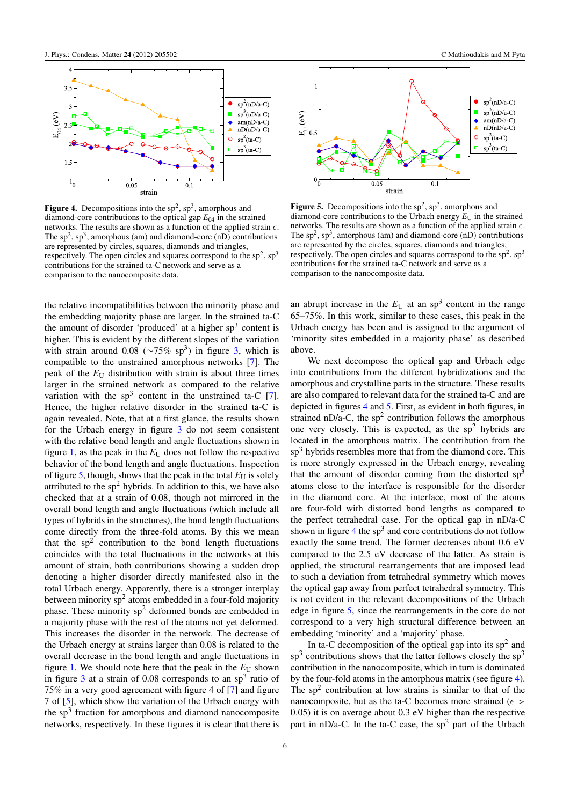<span id="page-6-1"></span>

**Figure 4.** Decompositions into the  $sp^2$ ,  $sp^3$ , amorphous and diamond-core contributions to the optical gap  $E_{04}$  in the strained networks. The results are shown as a function of the applied strain  $\epsilon$ . The sp<sup>2</sup>, sp<sup>3</sup>, amorphous (am) and diamond-core (nD) contributions are represented by circles, squares, diamonds and triangles, respectively. The open circles and squares correspond to the  $sp^2$ ,  $sp^3$ contributions for the strained ta-C network and serve as a comparison to the nanocomposite data.

the relative incompatibilities between the minority phase and the embedding majority phase are larger. In the strained ta-C the amount of disorder 'produced' at a higher  $sp<sup>3</sup>$  content is higher. This is evident by the different slopes of the variation with strain around 0.08 ( $\sim$ 75% sp<sup>3</sup>) in figure [3,](#page-5-1) which is compatible to the unstrained amorphous networks [\[7\]](#page-7-6). The peak of the  $E_{\text{U}}$  distribution with strain is about three times larger in the strained network as compared to the relative variation with the  $sp^3$  content in the unstrained ta-C [\[7\]](#page-7-6). Hence, the higher relative disorder in the strained ta-C is again revealed. Note, that at a first glance, the results shown for the Urbach energy in figure [3](#page-5-1) do not seem consistent with the relative bond length and angle fluctuations shown in figure [1,](#page-4-1) as the peak in the  $E_U$  does not follow the respective behavior of the bond length and angle fluctuations. Inspection of figure [5,](#page-6-0) though, shows that the peak in the total  $E_U$  is solely attributed to the  $sp^2$  hybrids. In addition to this, we have also checked that at a strain of 0.08, though not mirrored in the overall bond length and angle fluctuations (which include all types of hybrids in the structures), the bond length fluctuations come directly from the three-fold atoms. By this we mean that the  $sp^2$  contribution to the bond length fluctuations coincides with the total fluctuations in the networks at this amount of strain, both contributions showing a sudden drop denoting a higher disorder directly manifested also in the total Urbach energy. Apparently, there is a stronger interplay between minority  $sp^2$  atoms embedded in a four-fold majority phase. These minority  $sp^2$  deformed bonds are embedded in a majority phase with the rest of the atoms not yet deformed. This increases the disorder in the network. The decrease of the Urbach energy at strains larger than 0.08 is related to the overall decrease in the bond length and angle fluctuations in figure [1.](#page-4-1) We should note here that the peak in the  $E_U$  shown in figure  $3$  at a strain of 0.08 corresponds to an  $sp<sup>3</sup>$  ratio of 75% in a very good agreement with figure 4 of [\[7\]](#page-7-6) and figure 7 of [\[5\]](#page-7-4), which show the variation of the Urbach energy with the  $sp<sup>3</sup>$  fraction for amorphous and diamond nanocomposite networks, respectively. In these figures it is clear that there is

<span id="page-6-0"></span>

Figure 5. Decompositions into the  $sp^2$ ,  $sp^3$ , amorphous and diamond-core contributions to the Urbach energy  $E_{\text{U}}$  in the strained networks. The results are shown as a function of the applied strain  $\epsilon$ . The  $sp^2$ ,  $sp^3$ , amorphous (am) and diamond-core (nD) contributions are represented by the circles, squares, diamonds and triangles, respectively. The open circles and squares correspond to the  $sp^2$ ,  $sp^3$ contributions for the strained ta-C network and serve as a comparison to the nanocomposite data.

an abrupt increase in the  $E_U$  at an sp<sup>3</sup> content in the range 65–75%. In this work, similar to these cases, this peak in the Urbach energy has been and is assigned to the argument of 'minority sites embedded in a majority phase' as described above.

We next decompose the optical gap and Urbach edge into contributions from the different hybridizations and the amorphous and crystalline parts in the structure. These results are also compared to relevant data for the strained ta-C and are depicted in figures [4](#page-6-1) and [5.](#page-6-0) First, as evident in both figures, in strained nD/a-C, the  $sp^2$  contribution follows the amorphous one very closely. This is expected, as the  $sp<sup>2</sup>$  hybrids are located in the amorphous matrix. The contribution from the  $sp<sup>3</sup>$  hybrids resembles more that from the diamond core. This is more strongly expressed in the Urbach energy, revealing that the amount of disorder coming from the distorted  $sp<sup>3</sup>$ atoms close to the interface is responsible for the disorder in the diamond core. At the interface, most of the atoms are four-fold with distorted bond lengths as compared to the perfect tetrahedral case. For the optical gap in nD/a-C shown in figure [4](#page-6-1) the  $sp<sup>3</sup>$  and core contributions do not follow exactly the same trend. The former decreases about 0.6 eV compared to the 2.5 eV decrease of the latter. As strain is applied, the structural rearrangements that are imposed lead to such a deviation from tetrahedral symmetry which moves the optical gap away from perfect tetrahedral symmetry. This is not evident in the relevant decompositions of the Urbach edge in figure [5,](#page-6-0) since the rearrangements in the core do not correspond to a very high structural difference between an embedding 'minority' and a 'majority' phase.

In ta-C decomposition of the optical gap into its  $sp<sup>2</sup>$  and  $sp<sup>3</sup>$  contributions shows that the latter follows closely the  $sp<sup>3</sup>$ contribution in the nanocomposite, which in turn is dominated by the four-fold atoms in the amorphous matrix (see figure [4\)](#page-6-1). The  $sp<sup>2</sup>$  contribution at low strains is similar to that of the nanocomposite, but as the ta-C becomes more strained ( $\epsilon$ ) 0.05) it is on average about 0.3 eV higher than the respective part in nD/a-C. In the ta-C case, the  $sp<sup>2</sup>$  part of the Urbach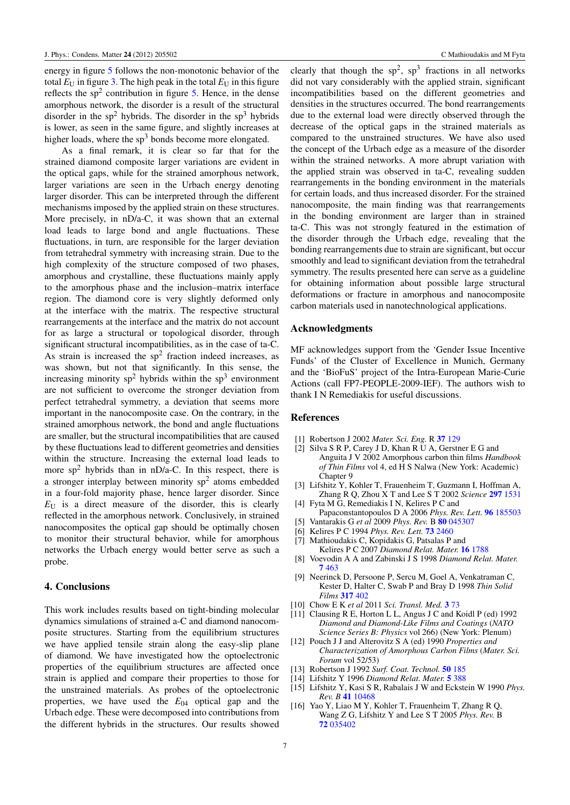energy in figure [5](#page-6-0) follows the non-monotonic behavior of the total  $E_U$  in figure [3.](#page-5-1) The high peak in the total  $E_U$  in this figure reflects the  $sp<sup>2</sup>$  contribution in figure [5.](#page-6-0) Hence, in the dense amorphous network, the disorder is a result of the structural disorder in the sp<sup>2</sup> hybrids. The disorder in the sp<sup>3</sup> hybrids is lower, as seen in the same figure, and slightly increases at higher loads, where the  $sp<sup>3</sup>$  bonds become more elongated.

As a final remark, it is clear so far that for the strained diamond composite larger variations are evident in the optical gaps, while for the strained amorphous network, larger variations are seen in the Urbach energy denoting larger disorder. This can be interpreted through the different mechanisms imposed by the applied strain on these structures. More precisely, in nD/a-C, it was shown that an external load leads to large bond and angle fluctuations. These fluctuations, in turn, are responsible for the larger deviation from tetrahedral symmetry with increasing strain. Due to the high complexity of the structure composed of two phases, amorphous and crystalline, these fluctuations mainly apply to the amorphous phase and the inclusion–matrix interface region. The diamond core is very slightly deformed only at the interface with the matrix. The respective structural rearrangements at the interface and the matrix do not account for as large a structural or topological disorder, through significant structural incompatibilities, as in the case of ta-C. As strain is increased the  $sp^2$  fraction indeed increases, as was shown, but not that significantly. In this sense, the increasing minority sp<sup>2</sup> hybrids within the sp<sup>3</sup> environment are not sufficient to overcome the stronger deviation from perfect tetrahedral symmetry, a deviation that seems more important in the nanocomposite case. On the contrary, in the strained amorphous network, the bond and angle fluctuations are smaller, but the structural incompatibilities that are caused by these fluctuations lead to different geometries and densities within the structure. Increasing the external load leads to more  $sp<sup>2</sup>$  hybrids than in nD/a-C. In this respect, there is a stronger interplay between minority  $sp<sup>2</sup>$  atoms embedded in a four-fold majority phase, hence larger disorder. Since  $E_{\text{U}}$  is a direct measure of the disorder, this is clearly reflected in the amorphous network. Conclusively, in strained nanocomposites the optical gap should be optimally chosen to monitor their structural behavior, while for amorphous networks the Urbach energy would better serve as such a probe.

## <span id="page-7-14"></span>4. Conclusions

This work includes results based on tight-binding molecular dynamics simulations of strained a-C and diamond nanocomposite structures. Starting from the equilibrium structures we have applied tensile strain along the easy-slip plane of diamond. We have investigated how the optoelectronic properties of the equilibrium structures are affected once strain is applied and compare their properties to those for the unstrained materials. As probes of the optoelectronic properties, we have used the *E*<sup>04</sup> optical gap and the Urbach edge. These were decomposed into contributions from the different hybrids in the structures. Our results showed

clearly that though the  $sp^2$ ,  $sp^3$  fractions in all networks did not vary considerably with the applied strain, significant incompatibilities based on the different geometries and densities in the structures occurred. The bond rearrangements due to the external load were directly observed through the decrease of the optical gaps in the strained materials as compared to the unstrained structures. We have also used the concept of the Urbach edge as a measure of the disorder within the strained networks. A more abrupt variation with the applied strain was observed in ta-C, revealing sudden rearrangements in the bonding environment in the materials for certain loads, and thus increased disorder. For the strained nanocomposite, the main finding was that rearrangements in the bonding environment are larger than in strained ta-C. This was not strongly featured in the estimation of the disorder through the Urbach edge, revealing that the bonding rearrangements due to strain are significant, but occur smoothly and lead to significant deviation from the tetrahedral symmetry. The results presented here can serve as a guideline for obtaining information about possible large structural deformations or fracture in amorphous and nanocomposite carbon materials used in nanotechnological applications.

## Acknowledgments

MF acknowledges support from the 'Gender Issue Incentive Funds' of the Cluster of Excellence in Munich, Germany and the 'BioFuS' project of the Intra-European Marie-Curie Actions (call FP7-PEOPLE-2009-IEF). The authors wish to thank I N Remediakis for useful discussions.

## References

- <span id="page-7-0"></span>[1] Robertson J 2002 *Mater. Sci. Eng.* R [37](http://dx.doi.org/10.1016/S0927-796X(02)00005-0) [129](http://dx.doi.org/10.1016/S0927-796X(02)00005-0)
- <span id="page-7-1"></span>[2] Silva S R P, Carey J D, Khan R U A, Gerstner E G and Anguita J V 2002 Amorphous carbon thin films *Handbook of Thin Films* vol 4, ed H S Nalwa (New York: Academic) Chapter 9
- <span id="page-7-2"></span>[3] Lifshitz Y, Kohler T, Frauenheim T, Guzmann I, Hoffman A, Zhang R Q, Zhou X T and Lee S T 2002 *Science* [297](http://dx.doi.org/10.1126/science.1074551) [1531](http://dx.doi.org/10.1126/science.1074551)
- <span id="page-7-3"></span>[4] Fyta M G, Remediakis I N, Kelires P C and Papaconstantopoulos D A 2006 *Phys. Rev. Lett.* [96](http://dx.doi.org/10.1103/PhysRevLett.96.185503) [185503](http://dx.doi.org/10.1103/PhysRevLett.96.185503)
- <span id="page-7-4"></span>[5] Vantarakis G *et al* 2009 *Phys. Rev.* B [80](http://dx.doi.org/10.1103/PhysRevB.80.045307) [045307](http://dx.doi.org/10.1103/PhysRevB.80.045307)
- <span id="page-7-5"></span>[6] Kelires P C 1994 *Phys. Rev. Lett.* [73](http://dx.doi.org/10.1103/PhysRevLett.73.2460) [2460](http://dx.doi.org/10.1103/PhysRevLett.73.2460)
- <span id="page-7-6"></span>[7] Mathioudakis C, Kopidakis G, Patsalas P and
- <span id="page-7-7"></span>Kelires P C 2007 *Diamond Relat. Mater.* [16](http://dx.doi.org/10.1016/j.diamond.2007.08.009) [1788](http://dx.doi.org/10.1016/j.diamond.2007.08.009) [8] Voevodin A A and Zabinski J S 1998 *Diamond Relat. Mater.*
- [7](http://dx.doi.org/10.1016/S0925-9635(97)00214-8) [463](http://dx.doi.org/10.1016/S0925-9635(97)00214-8)
- <span id="page-7-8"></span>[9] Neerinck D, Persoone P, Sercu M, Goel A, Venkatraman C, Kester D, Halter C, Swab P and Bray D 1998 *Thin Solid Films* [317](http://dx.doi.org/10.1016/S0040-6090(97)00631-7) [402](http://dx.doi.org/10.1016/S0040-6090(97)00631-7)
- <span id="page-7-9"></span>[10] Chow E K *et al* 2011 *Sci. Transl. Med.* [3](http://dx.doi.org/10.1126/scitranslmed.3001713) [73](http://dx.doi.org/10.1126/scitranslmed.3001713)
- <span id="page-7-10"></span>[11] Clausing R E, Horton L L, Angus J C and Koidl P (ed) 1992 *Diamond and Diamond-Like Films and Coatings* (*NATO Science Series B: Physics* vol 266) (New York: Plenum)
- [12] Pouch J J and Alterovitz S A (ed) 1990 *Properties and Characterization of Amorphous Carbon Films* (*Mater. Sci. Forum* vol 52/53)
- [13] Robertson J 1992 *Surf. Coat. Technol.* [50](http://dx.doi.org/10.1016/0257-8972(92)90001-Q) [185](http://dx.doi.org/10.1016/0257-8972(92)90001-Q)
- <span id="page-7-11"></span>[14] Lifshitz Y 1996 *Diamond Relat. Mater.* [5](http://dx.doi.org/10.1016/0925-9635(95)00445-9) [388](http://dx.doi.org/10.1016/0925-9635(95)00445-9)
- <span id="page-7-12"></span>[15] Lifshitz Y, Kasi S R, Rabalais J W and Eckstein W 1990 *Phys. Rev. B* [41](http://dx.doi.org/10.1103/PhysRevB.41.10468) [10468](http://dx.doi.org/10.1103/PhysRevB.41.10468)
- <span id="page-7-13"></span>[16] Yao Y, Liao M Y, Kohler T, Frauenheim T, Zhang R Q, Wang Z G, Lifshitz Y and Lee S T 2005 *Phys. Rev.* B [72](http://dx.doi.org/10.1103/PhysRevB.72.035402) [035402](http://dx.doi.org/10.1103/PhysRevB.72.035402)